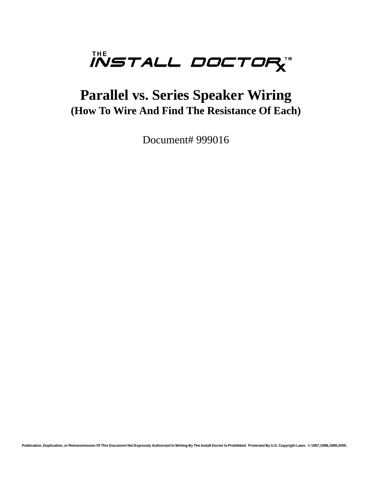

# **Parallel vs. Series Speaker Wiring (How To Wire And Find The Resistance Of Each)**

Document# 999016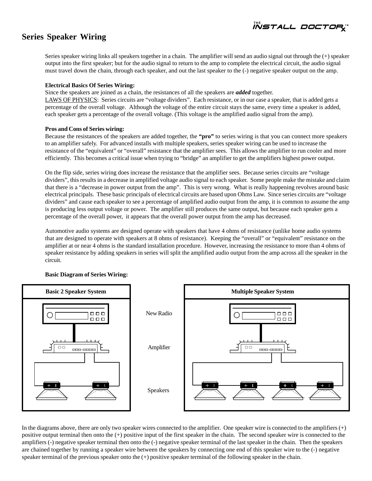*iistall doctor* 

### **Series Speaker Wiring**

Series speaker wiring links all speakers together in a chain. The amplifier will send an audio signal out through the (+) speaker output into the first speaker; but for the audio signal to return to the amp to complete the electrical circuit, the audio signal must travel down the chain, through each speaker, and out the last speaker to the (-) negative speaker output on the amp.

#### **Electrical Basics Of Series Wiring:**

Since the speakers are joined as a chain, the resistances of all the speakers are *added* together.

LAWS OF PHYSICS: Series circuits are "voltage dividers". Each resistance, or in our case a speaker, that is added gets a percentage of the overall voltage. Although the voltage of the entire circuit stays the same, every time a speaker is added, each speaker gets a percentage of the overall voltage. (This voltage is the amplified audio signal from the amp).

#### **Pros and Cons of Series wiring:**

Because the resistances of the speakers are added together, the **"pro"** to series wiring is that you can connect more speakers to an amplifier safely. For advanced installs with multiple speakers, series speaker wiring can be used to increase the resistance of the "equivalent" or "overall" resistance that the amplifier sees. This allows the amplifier to run cooler and more efficiently. This becomes a critical issue when trying to "bridge" an amplifier to get the amplifiers highest power output.

On the flip side, series wiring does increase the resistance that the amplifier sees. Because series circuits are "voltage dividers", this results in a decrease in amplified voltage audio signal to each speaker. Some people make the mistake and claim that there is a "decrease in power output from the amp". This is very wrong. What is really happening revolves around basic electrical principals. These basic principals of electrical circuits are based upon Ohms Law. Since series circuits are "voltage dividers" and cause each speaker to see a percentage of amplified audio output from the amp, it is common to assume the amp is producing less output voltage or power. The amplifier still produces the same output, but because each speaker gets a percentage of the overall power, it appears that the overall power output from the amp has decreased.

Automotive audio systems are designed operate with speakers that have 4 ohms of resistance (unlike home audio systems that are designed to operate with speakers at 8 ohms of resistance). Keeping the "overall" or "equivalent" resistance on the amplifier at or near 4 ohms is the standard installation procedure. However, increasing the resistance to more than 4 ohms of speaker resistance by adding speakers in series will split the amplified audio output from the amp across all the speaker in the circuit.



#### **Basic Diagram of Series Wiring:**

In the diagrams above, there are only two speaker wires connected to the amplifier. One speaker wire is connected to the amplifiers (+) positive output terminal then onto the (+) positive input of the first speaker in the chain. The second speaker wire is connected to the amplifiers (-) negative speaker terminal then onto the (-) negative speaker terminal of the last speaker in the chain. Then the speakers are chained together by running a speaker wire between the speakers by connecting one end of this speaker wire to the (-) negative speaker terminal of the previous speaker onto the (+) positive speaker terminal of the following speaker in the chain.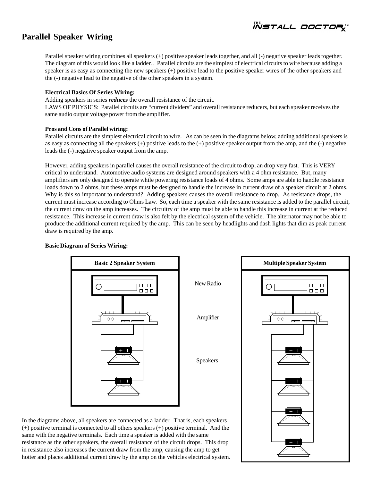*install doctory* 

### **Parallel Speaker Wiring**

Parallel speaker wiring combines all speakers (+) positive speaker leads together, and all (-) negative speaker leads together. The diagram of this would look like a ladder. . Parallel circuits are the simplest of electrical circuits to wire because adding a speaker is as easy as connecting the new speakers (+) positive lead to the positive speaker wires of the other speakers and the (-) negative lead to the negative of the other speakers in a system.

#### **Electrical Basics Of Series Wiring:**

Adding speakers in series *reduces* the overall resistance of the circuit.

LAWS OF PHYSICS: Parallel circuits are "current dividers" and overall resistance reducers, but each speaker receives the same audio output voltage power from the amplifier.

#### **Pros and Cons of Parallel wiring:**

Parallel circuits are the simplest electrical circuit to wire. As can be seen in the diagrams below, adding additional speakers is as easy as connecting all the speakers (+) positive leads to the (+) positive speaker output from the amp, and the (-) negative leads the (-) negative speaker output from the amp.

However, adding speakers in parallel causes the overall resistance of the circuit to drop, an drop very fast. This is VERY critical to understand. Automotive audio systems are designed around speakers with a 4 ohm resistance. But, many amplifiers are only designed to operate while powering resistance loads of 4 ohms. Some amps are able to handle resistance loads down to 2 ohms, but these amps must be designed to handle the increase in current draw of a speaker circuit at 2 ohms. Why is this so important to understand? Adding speakers causes the overall resistance to drop. As resistance drops, the current must increase according to Ohms Law. So, each time a speaker with the same resistance is added to the parallel circuit, the current draw on the amp increases. The circuitry of the amp must be able to handle this increase in current at the reduced resistance. This increase in current draw is also felt by the electrical system of the vehicle. The alternator may not be able to produce the additional current required by the amp. This can be seen by headlights and dash lights that dim as peak current draw is required by the amp.

#### **Basic Diagram of Series Wiring:**



In the diagrams above, all speakers are connected as a ladder. That is, each speakers (+) positive terminal is connected to all others speakers (+) positive terminal. And the same with the negative terminals. Each time a speaker is added with the same resistance as the other speakers, the overall resistance of the circuit drops. This drop in resistance also increases the current draw from the amp, causing the amp to get hotter and places additional current draw by the amp on the vehicles electrical system.